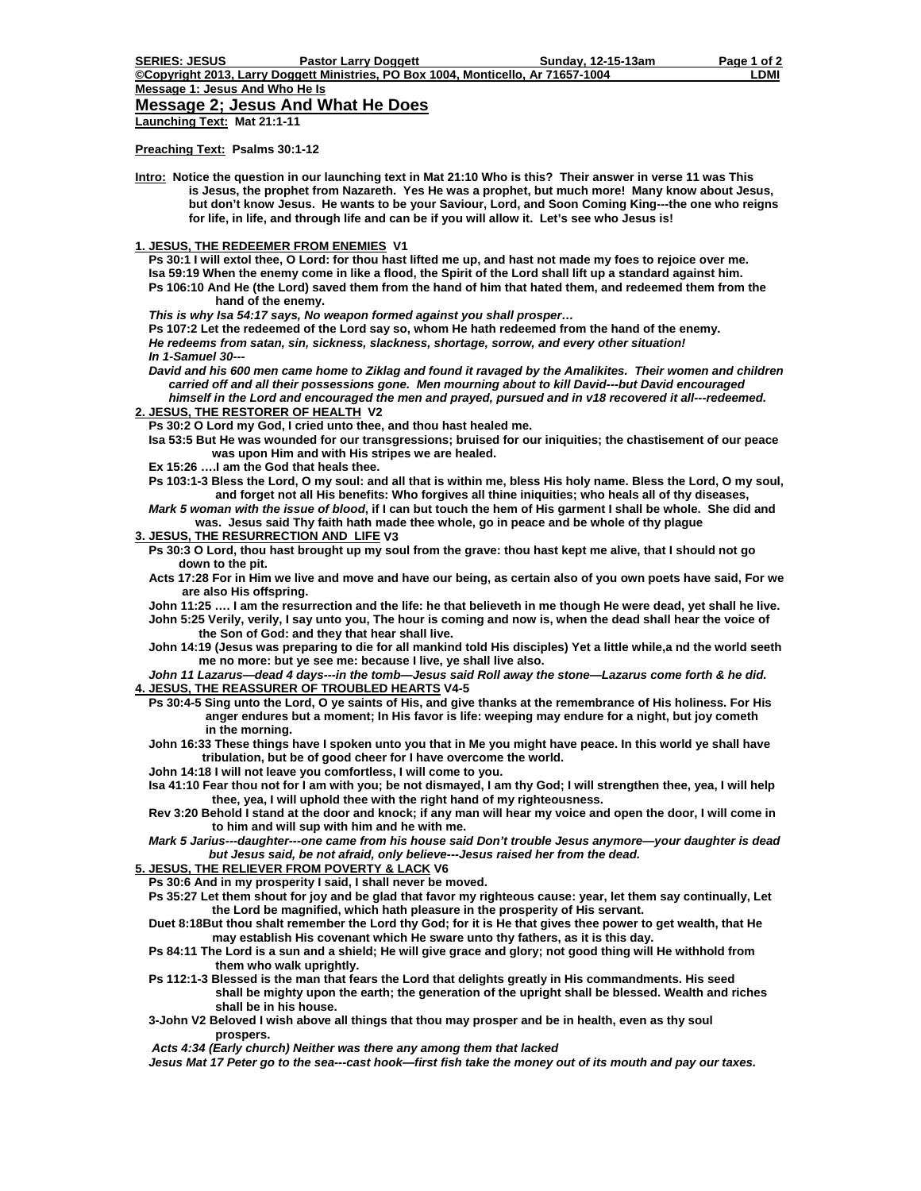## **Message 2; Jesus And What He Does**

**Launching Text: Mat 21:1-11** 

**Preaching Text: Psalms 30:1-12** 

**Intro: Notice the question in our launching text in Mat 21:10 Who is this? Their answer in verse 11 was This is Jesus, the prophet from Nazareth. Yes He was a prophet, but much more! Many know about Jesus, but don't know Jesus. He wants to be your Saviour, Lord, and Soon Coming King---the one who reigns for life, in life, and through life and can be if you will allow it. Let's see who Jesus is!** 

**1. JESUS, THE REDEEMER FROM ENEMIES V1** 

 **Ps 30:1 I will extol thee, O Lord: for thou hast lifted me up, and hast not made my foes to rejoice over me. Isa 59:19 When the enemy come in like a flood, the Spirit of the Lord shall lift up a standard against him. Ps 106:10 And He (the Lord) saved them from the hand of him that hated them, and redeemed them from the hand of the enemy.** 

*This is why Isa 54:17 says, No weapon formed against you shall prosper…* 

**Ps 107:2 Let the redeemed of the Lord say so, whom He hath redeemed from the hand of the enemy.** *He redeems from satan, sin, sickness, slackness, shortage, sorrow, and every other situation! In 1-Samuel 30---* 

 *David and his 600 men came home to Ziklag and found it ravaged by the Amalikites. Their women and children carried off and all their possessions gone. Men mourning about to kill David---but David encouraged himself in the Lord and encouraged the men and prayed, pursued and in v18 recovered it all---redeemed.* 

**2. JESUS, THE RESTORER OF HEALTH V2** 

 **Ps 30:2 O Lord my God, I cried unto thee, and thou hast healed me.** 

 **Isa 53:5 But He was wounded for our transgressions; bruised for our iniquities; the chastisement of our peace was upon Him and with His stripes we are healed.** 

 **Ex 15:26 ….I am the God that heals thee.** 

 **Ps 103:1-3 Bless the Lord, O my soul: and all that is within me, bless His holy name. Bless the Lord, O my soul, and forget not all His benefits: Who forgives all thine iniquities; who heals all of thy diseases,** 

*Mark 5 woman with the issue of blood***, if I can but touch the hem of His garment I shall be whole. She did and was. Jesus said Thy faith hath made thee whole, go in peace and be whole of thy plague** 

**3. JESUS, THE RESURRECTION AND LIFE V3** 

- **Ps 30:3 O Lord, thou hast brought up my soul from the grave: thou hast kept me alive, that I should not go down to the pit.**
- **Acts 17:28 For in Him we live and move and have our being, as certain also of you own poets have said, For we are also His offspring.**

 **John 11:25 …. I am the resurrection and the life: he that believeth in me though He were dead, yet shall he live.** 

 **John 5:25 Verily, verily, I say unto you, The hour is coming and now is, when the dead shall hear the voice of the Son of God: and they that hear shall live.** 

 **John 14:19 (Jesus was preparing to die for all mankind told His disciples) Yet a little while,a nd the world seeth me no more: but ye see me: because I live, ye shall live also.** 

*John 11 Lazarus—dead 4 days---in the tomb—Jesus said Roll away the stone—Lazarus come forth & he did.*  **4. JESUS, THE REASSURER OF TROUBLED HEARTS V4-5** 

- **Ps 30:4-5 Sing unto the Lord, O ye saints of His, and give thanks at the remembrance of His holiness. For His anger endures but a moment; In His favor is life: weeping may endure for a night, but joy cometh in the morning.**
- **John 16:33 These things have I spoken unto you that in Me you might have peace. In this world ye shall have tribulation, but be of good cheer for I have overcome the world.**
- **John 14:18 I will not leave you comfortless, I will come to you.**

 **Isa 41:10 Fear thou not for I am with you; be not dismayed, I am thy God; I will strengthen thee, yea, I will help thee, yea, I will uphold thee with the right hand of my righteousness.** 

 **Rev 3:20 Behold I stand at the door and knock; if any man will hear my voice and open the door, I will come in to him and will sup with him and he with me.** 

*Mark 5 Jarius---daughter---one came from his house said Don't trouble Jesus anymore—your daughter is dead but Jesus said, be not afraid, only believe---Jesus raised her from the dead.* 

**5. JESUS, THE RELIEVER FROM POVERTY & LACK V6** 

 **Ps 30:6 And in my prosperity I said, I shall never be moved.** 

 **Ps 35:27 Let them shout for joy and be glad that favor my righteous cause: year, let them say continually, Let the Lord be magnified, which hath pleasure in the prosperity of His servant.** 

 **Duet 8:18But thou shalt remember the Lord thy God; for it is He that gives thee power to get wealth, that He may establish His covenant which He sware unto thy fathers, as it is this day.** 

- **Ps 84:11 The Lord is a sun and a shield; He will give grace and glory; not good thing will He withhold from them who walk uprightly.**
- **Ps 112:1-3 Blessed is the man that fears the Lord that delights greatly in His commandments. His seed shall be mighty upon the earth; the generation of the upright shall be blessed. Wealth and riches shall be in his house.**
- **3-John V2 Beloved I wish above all things that thou may prosper and be in health, even as thy soul prospers.**

*Acts 4:34 (Early church) Neither was there any among them that lacked* 

 *Jesus Mat 17 Peter go to the sea---cast hook—first fish take the money out of its mouth and pay our taxes.*